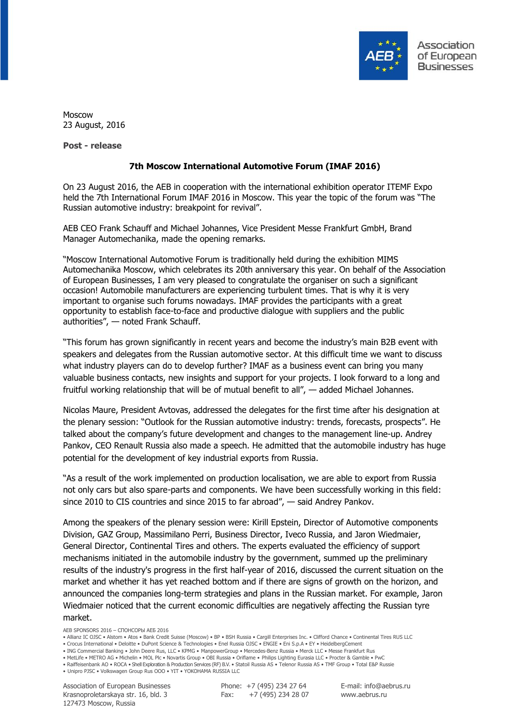

Moscow 23 August, 2016

**Post - release**

## **7th Moscow International Automotive Forum (IMAF 2016)**

On 23 August 2016, the AEB in cooperation with the international exhibition operator ITEMF Expo held the 7th International Forum IMAF 2016 in Moscow. This year the topic of the forum was "The Russian automotive industry: breakpoint for revival".

AEB CEO Frank Schauff and Michael Johannes, Vice President Messe Frankfurt GmbH, Brand Manager Automechanika, made the opening remarks.

"Moscow International Automotive Forum is traditionally held during the exhibition MIMS Automechanika Moscow, which celebrates its 20th anniversary this year. On behalf of the Association of European Businesses, I am very pleased to congratulate the organiser on such a significant occasion! Automobile manufacturers are experiencing turbulent times. That is why it is very important to organise such forums nowadays. IMAF provides the participants with a great opportunity to establish face-to-face and productive dialogue with suppliers and the public authorities", — noted Frank Schauff.

"This forum has grown significantly in recent years and become the industry's main B2B event with speakers and delegates from the Russian automotive sector. At this difficult time we want to discuss what industry players can do to develop further? IMAF as a business event can bring you many valuable business contacts, new insights and support for your projects. I look forward to a long and fruitful working relationship that will be of mutual benefit to all", — added Michael Johannes.

Nicolas Maure, President Avtovas, addressed the delegates for the first time after his designation at the plenary session: "Outlook for the Russian automotive industry: trends, forecasts, prospects". He talked about the company's future development and changes to the management line-up. Andrey Pankov, CEO Renault Russia also made a speech. He admitted that the automobile industry has huge potential for the development of key industrial exports from Russia.

"As a result of the work implemented on production localisation, we are able to export from Russia not only cars but also spare-parts and components. We have been successfully working in this field: since 2010 to CIS countries and since 2015 to far abroad", — said Andrey Pankov.

Among the speakers of the plenary session were: Kirill Epstein, Director of Automotive components Division, GAZ Group, Massimilano Perri, Business Director, Iveco Russia, and Jaron Wiedmaier, General Director, Continental Tires and others. The experts evaluated the efficiency of support mechanisms initiated in the automobile industry by the government, summed up the preliminary results of the industry's progress in the first half-year of 2016, discussed the current situation on the market and whether it has yet reached bottom and if there are signs of growth on the horizon, and announced the companies long-term strategies and plans in the Russian market. For example, Jaron Wiedmaier noticed that the current economic difficulties are negatively affecting the Russian tyre market.

AEB SPONSORS 2016 – СПОНСОРЫ АЕБ 2016

- Crocus International Deloitte DuPont Science & Technologies Enel Russia OJSC ENGIE Eni S.p.A EY HeidelbergCement
- ING Commercial Banking John Deere Rus, LLC KPMG ManpowerGroup Mercedes-Benz Russia Merck LLC Messe Frankfurt Rus

• MetLife • METRO AG • Michelin • MOL Plc • Novartis Group • OBI Russia • Oriflame • Philips Lighting Eurasia LLC • Procter & Gamble • PwC • Raiffeisenbank AO • ROCA • Shell Exploration & Production Services (RF) B.V. • Statoil Russia AS • Telenor Russia AS • TMF Group • Total E&P Russie

• Unipro PJSC • Volkswagen Group Rus OOO • YIT • YOKOHAMA RUSSIA LLC

Association of European Businesses Krasnoproletarskaya str. 16, bld. 3 127473 Moscow, Russia

Phone: +7 (495) 234 27 64 Fax: +7 (495) 234 28 07 E-mail: info@aebrus.ru www.aebrus.ru

<sup>•</sup> Allianz IC OJSC • Alstom • Atos • Bank Credit Suisse (Moscow) • BP • BSH Russia • Cargill Enterprises Inc. • Clifford Chance • Continental Tires RUS LLC